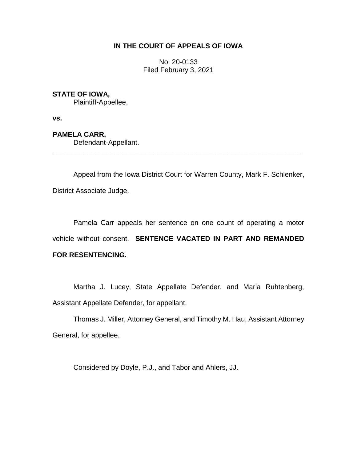## **IN THE COURT OF APPEALS OF IOWA**

No. 20-0133 Filed February 3, 2021

## **STATE OF IOWA,**

Plaintiff-Appellee,

**vs.**

**PAMELA CARR,**

Defendant-Appellant.

Appeal from the Iowa District Court for Warren County, Mark F. Schlenker, District Associate Judge.

\_\_\_\_\_\_\_\_\_\_\_\_\_\_\_\_\_\_\_\_\_\_\_\_\_\_\_\_\_\_\_\_\_\_\_\_\_\_\_\_\_\_\_\_\_\_\_\_\_\_\_\_\_\_\_\_\_\_\_\_\_\_\_\_

Pamela Carr appeals her sentence on one count of operating a motor vehicle without consent. **SENTENCE VACATED IN PART AND REMANDED FOR RESENTENCING.**

Martha J. Lucey, State Appellate Defender, and Maria Ruhtenberg, Assistant Appellate Defender, for appellant.

Thomas J. Miller, Attorney General, and Timothy M. Hau, Assistant Attorney General, for appellee.

Considered by Doyle, P.J., and Tabor and Ahlers, JJ.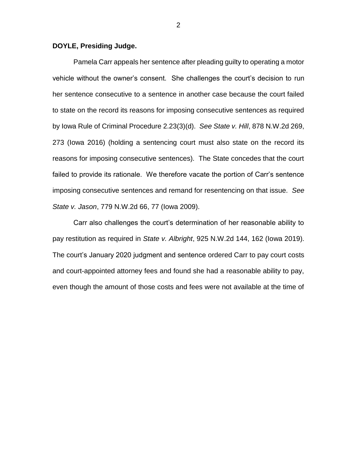## **DOYLE, Presiding Judge.**

Pamela Carr appeals her sentence after pleading guilty to operating a motor vehicle without the owner's consent. She challenges the court's decision to run her sentence consecutive to a sentence in another case because the court failed to state on the record its reasons for imposing consecutive sentences as required by Iowa Rule of Criminal Procedure 2.23(3)(d). *See State v. Hill*, 878 N.W.2d 269, 273 (Iowa 2016) (holding a sentencing court must also state on the record its reasons for imposing consecutive sentences). The State concedes that the court failed to provide its rationale. We therefore vacate the portion of Carr's sentence imposing consecutive sentences and remand for resentencing on that issue. *See State v. Jason*, 779 N.W.2d 66, 77 (Iowa 2009).

Carr also challenges the court's determination of her reasonable ability to pay restitution as required in *State v. Albright*, 925 N.W.2d 144, 162 (Iowa 2019). The court's January 2020 judgment and sentence ordered Carr to pay court costs and court-appointed attorney fees and found she had a reasonable ability to pay, even though the amount of those costs and fees were not available at the time of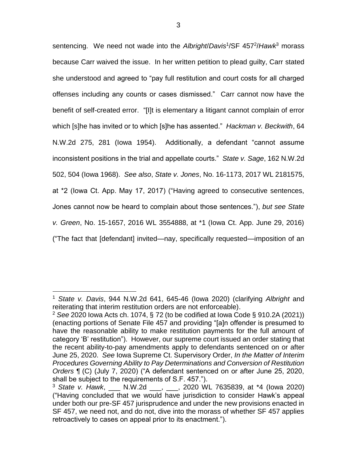sentencing. We need not wade into the *Albright*/*Davis*<sup>1</sup> /SF 457<sup>2</sup> /*Hawk*<sup>3</sup> morass because Carr waived the issue. In her written petition to plead guilty, Carr stated she understood and agreed to "pay full restitution and court costs for all charged offenses including any counts or cases dismissed." Carr cannot now have the benefit of self-created error. "[I]t is elementary a litigant cannot complain of error which [s]he has invited or to which [s]he has assented." *Hackman v. Beckwith*, 64 N.W.2d 275, 281 (Iowa 1954). Additionally, a defendant "cannot assume inconsistent positions in the trial and appellate courts." *State v. Sage*, 162 N.W.2d 502, 504 (Iowa 1968). *See also*, *State v. Jones*, No. 16-1173, 2017 WL 2181575, at \*2 (Iowa Ct. App. May 17, 2017) ("Having agreed to consecutive sentences, Jones cannot now be heard to complain about those sentences."), *but see State v. Green*, No. 15-1657, 2016 WL 3554888, at \*1 (Iowa Ct. App. June 29, 2016) ("The fact that [defendant] invited—nay, specifically requested—imposition of an

 $\overline{a}$ 

<sup>1</sup> *State v. Davis*, 944 N.W.2d 641, 645-46 (Iowa 2020) (clarifying *Albright* and reiterating that interim restitution orders are not enforceable).

<sup>2</sup> *See* 2020 Iowa Acts ch. 1074, § 72 (to be codified at Iowa Code § 910.2A (2021)) (enacting portions of Senate File 457 and providing "[a]n offender is presumed to have the reasonable ability to make restitution payments for the full amount of category 'B' restitution"). However, our supreme court issued an order stating that the recent ability-to-pay amendments apply to defendants sentenced on or after June 25, 2020. *See* Iowa Supreme Ct. Supervisory Order, *In the Matter of Interim Procedures Governing Ability to Pay Determinations and Conversion of Restitution Orders* ¶ (C) (July 7, 2020) ("A defendant sentenced on or after June 25, 2020, shall be subject to the requirements of S.F. 457.").

<sup>3</sup> *State v. Hawk*, \_\_\_ N.W.2d \_\_\_, \_\_\_, 2020 WL 7635839, at \*4 (Iowa 2020) ("Having concluded that we would have jurisdiction to consider Hawk's appeal under both our pre-SF 457 jurisprudence and under the new provisions enacted in SF 457, we need not, and do not, dive into the morass of whether SF 457 applies retroactively to cases on appeal prior to its enactment.").